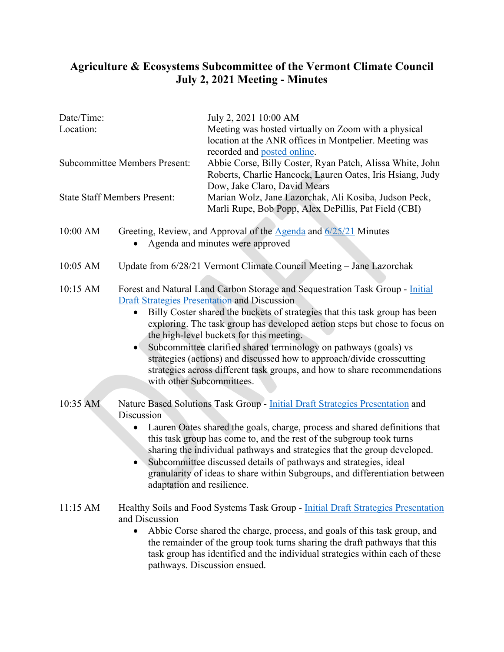## **Agriculture & Ecosystems Subcommittee of the Vermont Climate Council July 2, 2021 Meeting - Minutes**

........................

| Date/Time:<br>Location:              |                                                                                                                                                                                                                                                                                                                                                                                                                                                                                                                                                                                                                    | July 2, 2021 10:00 AM<br>Meeting was hosted virtually on Zoom with a physical<br>location at the ANR offices in Montpelier. Meeting was<br>recorded and posted online.                                                                                                                                                                                                                                                                                             |
|--------------------------------------|--------------------------------------------------------------------------------------------------------------------------------------------------------------------------------------------------------------------------------------------------------------------------------------------------------------------------------------------------------------------------------------------------------------------------------------------------------------------------------------------------------------------------------------------------------------------------------------------------------------------|--------------------------------------------------------------------------------------------------------------------------------------------------------------------------------------------------------------------------------------------------------------------------------------------------------------------------------------------------------------------------------------------------------------------------------------------------------------------|
| <b>Subcommittee Members Present:</b> |                                                                                                                                                                                                                                                                                                                                                                                                                                                                                                                                                                                                                    | Abbie Corse, Billy Coster, Ryan Patch, Alissa White, John<br>Roberts, Charlie Hancock, Lauren Oates, Iris Hsiang, Judy<br>Dow, Jake Claro, David Mears                                                                                                                                                                                                                                                                                                             |
| <b>State Staff Members Present:</b>  |                                                                                                                                                                                                                                                                                                                                                                                                                                                                                                                                                                                                                    | Marian Wolz, Jane Lazorchak, Ali Kosiba, Judson Peck,<br>Marli Rupe, Bob Popp, Alex DePillis, Pat Field (CBI)                                                                                                                                                                                                                                                                                                                                                      |
| 10:00 AM                             | Greeting, Review, and Approval of the <b>Agenda</b> and 6/25/21 Minutes<br>Agenda and minutes were approved                                                                                                                                                                                                                                                                                                                                                                                                                                                                                                        |                                                                                                                                                                                                                                                                                                                                                                                                                                                                    |
| 10:05 AM                             | Update from 6/28/21 Vermont Climate Council Meeting - Jane Lazorchak                                                                                                                                                                                                                                                                                                                                                                                                                                                                                                                                               |                                                                                                                                                                                                                                                                                                                                                                                                                                                                    |
| 10:15 AM                             | Forest and Natural Land Carbon Storage and Sequestration Task Group - Initial<br><b>Draft Strategies Presentation and Discussion</b><br>Billy Coster shared the buckets of strategies that this task group has been<br>$\bullet$<br>exploring. The task group has developed action steps but chose to focus on<br>the high-level buckets for this meeting.<br>Subcommittee clarified shared terminology on pathways (goals) vs<br>strategies (actions) and discussed how to approach/divide crosscutting<br>strategies across different task groups, and how to share recommendations<br>with other Subcommittees. |                                                                                                                                                                                                                                                                                                                                                                                                                                                                    |
| 10:35 AM                             | Discussion<br>adaptation and resilience.                                                                                                                                                                                                                                                                                                                                                                                                                                                                                                                                                                           | Nature Based Solutions Task Group - Initial Draft Strategies Presentation and<br>Lauren Oates shared the goals, charge, process and shared definitions that<br>this task group has come to, and the rest of the subgroup took turns<br>sharing the individual pathways and strategies that the group developed.<br>Subcommittee discussed details of pathways and strategies, ideal<br>granularity of ideas to share within Subgroups, and differentiation between |
| $11:15$ AM                           | and Discussion                                                                                                                                                                                                                                                                                                                                                                                                                                                                                                                                                                                                     | Healthy Soils and Food Systems Task Group - Initial Draft Strategies Presentation<br>Abbie Corse shared the charge, process, and goals of this task group, and<br>the remainder of the group took turns sharing the draft pathways that this<br>task group has identified and the individual strategies within each of these<br>pathways. Discussion ensued.                                                                                                       |